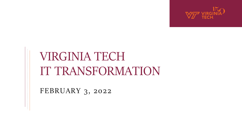

FEBRUARY 3, 2022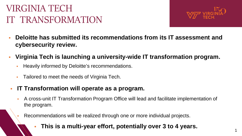

1

- **Deloitte has submitted its recommendations from its IT assessment and cybersecurity review.**
- **Virginia Tech is launching a university-wide IT transformation program.**
	- Heavily informed by Deloitte's recommendations.
	- Tailored to meet the needs of Virginia Tech.

### **IT Transformation will operate as a program.**

 A cross-unit IT Transformation Program Office will lead and facilitate implementation of the program.

Recommendations will be realized through one or more individual projects.

**This is a multi-year effort, potentially over 3 to 4 years.**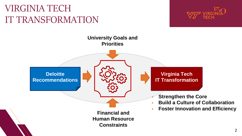

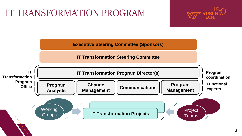### IT TRANSFORMATION PROGRAM



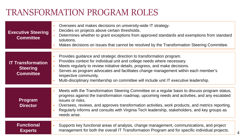### TRANSFORMATION PROGRAM ROLES

| <b>Executive Steering</b><br><b>Committee</b>                   | Oversees and makes decisions on university-wide IT strategy.<br>Decides on projects above certain thresholds.<br>Determines whether to grant exceptions from approved standards and exemptions from standard<br>solutions.<br>Makes decisions on issues that cannot be resolved by the Transformation Steering Committee.                                                                                                                |
|-----------------------------------------------------------------|------------------------------------------------------------------------------------------------------------------------------------------------------------------------------------------------------------------------------------------------------------------------------------------------------------------------------------------------------------------------------------------------------------------------------------------|
| <b>IT Transformation</b><br><b>Steering</b><br><b>Committee</b> | Provides guidance and strategic direction to transformation program.<br>Provides context for individual unit and college needs where necessary.<br>Meets regularly to review initiative details, progress, and make decisions.<br>Serves as program advocates and facilitates change management within each member's<br>respective community.<br>Multi-disciplinary membership on committee will include unit IT executive leadership.   |
| <b>Program</b><br><b>Director</b>                               | Meets with the Transformation Steering Committee on a regular basis to discuss program status,<br>progress against the transformation roadmap, upcoming needs and activities, and any escalated<br>issues or risks.<br>Oversees, reviews, and approves transformation activities, work products, and metrics reporting.<br>Regularly informs and consults with Virginia Tech leadership, stakeholders, and key groups as<br>needs arise. |
| <b>Functional</b><br><b>Experts</b>                             | Supports key functional areas of analysis, change management, communications, and project<br>management for both the overall IT Transformation Program and for specific individual projects.<br>$\overline{4}$                                                                                                                                                                                                                           |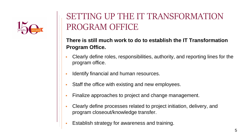

### SETTING UP THE IT TRANSFORMATION PROGRAM OFFICE

### **There is still much work to do to establish the IT Transformation Program Office.**

- Clearly define roles, responsibilities, authority, and reporting lines for the program office.
- Identify financial and human resources.
- Staff the office with existing and new employees.
- Finalize approaches to project and change management.
- Clearly define processes related to project initiation, delivery, and program closeout/knowledge transfer.
- Establish strategy for awareness and training.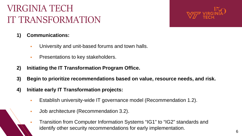

- **1) Communications:**
	- **University and unit-based forums and town halls.**
	- **Presentations to key stakeholders.**
- **2) Initiating the IT Transformation Program Office.**
- **3) Begin to prioritize recommendations based on value, resource needs, and risk.**
- **4) Initiate early IT Transformation projects:**
	- Establish university-wide IT governance model (Recommendation 1.2).
	- **Job architecture (Recommendation 3.2).**
	- Transition from Computer Information Systems "IG1" to "IG2" standards and identify other security recommendations for early implementation.  $\overline{6}$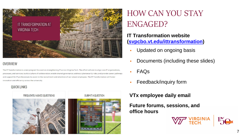

#### OVERVIEW

The IT Transformation is a new program focused on strengthening IT across Virginia Tech. The effort will aim to align core IT organizations, processes, and services; build a culture of collaboration; enable shared governance; address cybersecurity risks; and provide career pathways and support for IT professionals to assist in the recruitment and retention of our valued employees. The IT Transformation will foster innovation and efficiency across the university

#### **QUICK LINKS**





### HOW CAN YOU STAY ENGAGED?

#### **IT Transformation website ([svpcbo.vt.edu/ittransformation](https://svpcbo.vt.edu/ittransformation))**

- **Updated on ongoing basis**
- **-** Documents (including these slides)
- FAQs
- **Feedback/inquiry form**

#### **VTx employee daily email**

**Future forums, sessions, and office hours**



7